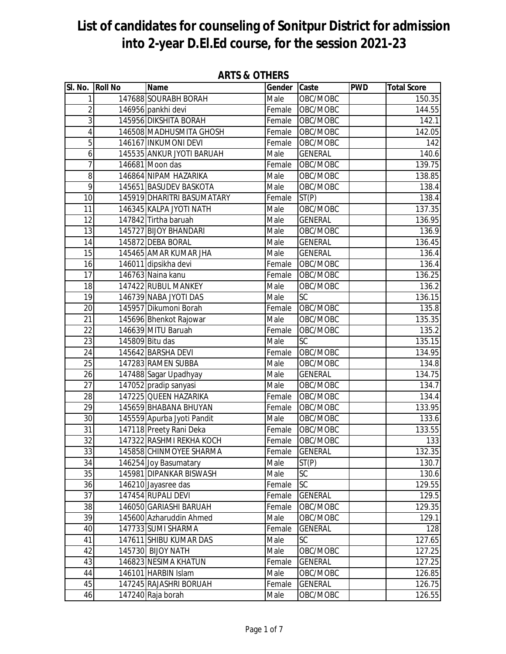| SI. No.          | <b>Roll No</b> | Name                                             | Gender Caste |                            | <b>PWD</b> | <b>Total Score</b> |
|------------------|----------------|--------------------------------------------------|--------------|----------------------------|------------|--------------------|
| 1                |                | 147688 SOURABH BORAH                             | Male         | OBC/MOBC                   |            | 150.35             |
| $\overline{2}$   |                | 146956 pankhi devi                               | Female       | OBC/MOBC                   |            | 144.55             |
| 3                |                | 145956 DIKSHITA BORAH                            | Female       | OBC/MOBC                   |            | 142.1              |
| 4                |                | 146508 MADHUSMITA GHOSH                          | Female       | OBC/MOBC                   |            | 142.05             |
| 5                |                | 146167 INKUMONI DEVI                             | Female       | OBC/MOBC                   |            | 142                |
| $\boldsymbol{6}$ |                | 145535 ANKUR JYOTI BARUAH                        | Male         | <b>GENERAL</b>             |            | 140.6              |
| 7                |                | 146681 Moon das                                  | Female       | OBC/MOBC                   |            | 139.75             |
| 8                |                | 146864 NIPAM HAZARIKA                            | Male         | OBC/MOBC                   |            | 138.85             |
| $\overline{9}$   |                | 145651 BASUDEV BASKOTA                           | Male         | OBC/MOBC                   |            | 138.4              |
| 10               |                | 145919 DHARITRI BASUMATARY                       | Female       | ST(P)                      |            | 138.4              |
| 11               |                | 146345 KALPA JYOTI NATH                          | Male         | OBC/MOBC                   |            | 137.35             |
| 12               |                | 147842 Tirtha baruah                             | Male         | <b>GENERAL</b>             |            | 136.95             |
| 13               |                | 145727 BIJOY BHANDARI                            | Male         | OBC/MOBC                   |            | 136.9              |
| 14               |                | 145872 DEBA BORAL                                | Male         | <b>GENERAL</b>             |            | 136.45             |
| 15               |                | 145465 AMAR KUMAR JHA                            | Male         | <b>GENERAL</b>             |            | 136.4              |
| 16               |                | 146011 dipsikha devi                             | Female       | OBC/MOBC                   |            | 136.4              |
| 17               |                | 146763 Naina kanu                                | Female       | OBC/MOBC                   |            | 136.25             |
| 18               |                | 147422 RUBUL MANKEY                              | Male         | OBC/MOBC                   |            | 136.2              |
| 19               |                | 146739 NABA JYOTI DAS                            | Male         | <b>SC</b>                  |            | 136.15             |
| $\overline{20}$  |                | 145957 Dikumoni Borah                            | Female       | OBC/MOBC                   |            | 135.8              |
| 21               |                | 145696 Bhenkot Rajowar                           | Male         | OBC/MOBC                   |            | 135.35             |
| 22               |                | 146639 MITU Baruah                               | Female       | OBC/MOBC                   |            | 135.2              |
| $\overline{23}$  |                | 145809 Bitu das                                  | Male         | <b>SC</b>                  |            | 135.15             |
| 24               |                | 145642 BARSHA DEVI                               | Female       | OBC/MOBC                   |            | 134.95             |
| 25               |                | 147283 RAMEN SUBBA                               | Male         | OBC/MOBC                   |            | 134.8              |
| 26               |                | 147488 Sagar Upadhyay                            | Male         | <b>GENERAL</b>             |            | 134.75             |
| $\overline{27}$  |                | 147052 pradip sanyasi                            | Male         | OBC/MOBC                   |            | 134.7              |
| $\overline{28}$  |                | 147225 QUEEN HAZARIKA                            | Female       | OBC/MOBC                   |            | 134.4              |
| $\overline{29}$  |                | 145659 BHABANA BHUYAN                            | Female       | OBC/MOBC                   |            | 133.95             |
| 30               |                | 145559 Apurba Jyoti Pandit                       | Male         | OBC/MOBC                   |            | 133.6              |
| $\overline{31}$  |                | 147118 Preety Rani Deka                          | Female       | OBC/MOBC                   |            | 133.55             |
| 32               |                | 147322 RASHMI REKHA KOCH                         | Female       | OBC/MOBC<br><b>GENERAL</b> |            | 133                |
| 33<br>34         |                | 145858 CHINMOYEE SHARMA                          | Female       | ST(P)                      |            | 132.35<br>130.7    |
| 35               |                | 146254 Joy Basumatary<br>145981 DIPANKAR BISWASH | Male<br>Male | <b>SC</b>                  |            | 130.6              |
| 36               |                |                                                  | Female       | <b>SC</b>                  |            | 129.55             |
| 37               |                | 146210 Jayasree das<br>147454 RUPALI DEVI        | Female       | <b>GENERAL</b>             |            | 129.5              |
| 38               |                | 146050 GARIASHI BARUAH                           | Female       | OBC/MOBC                   |            | 129.35             |
| 39               |                | 145600 Azharuddin Ahmed                          | Male         | OBC/MOBC                   |            | 129.1              |
| 40               |                | 147733 SUMI SHARMA                               | Female       | <b>GENERAL</b>             |            | 128                |
| 41               |                | 147611 SHIBU KUMAR DAS                           | Male         | <b>SC</b>                  |            | 127.65             |
| 42               |                | 145730 BIJOY NATH                                | Male         | OBC/MOBC                   |            | 127.25             |
| 43               |                | 146823 NESIMA KHATUN                             | Female       | <b>GENERAL</b>             |            | 127.25             |
| 44               |                | 146101 HARBIN Islam                              | Male         | OBC/MOBC                   |            | 126.85             |
| 45               |                | 147245 RAJASHRI BORUAH                           | Female       | <b>GENERAL</b>             |            | 126.75             |
| 46               |                | 147240 Raja borah                                | Male         | OBC/MOBC                   |            | 126.55             |
|                  |                |                                                  |              |                            |            |                    |

#### **ARTS & OTHERS**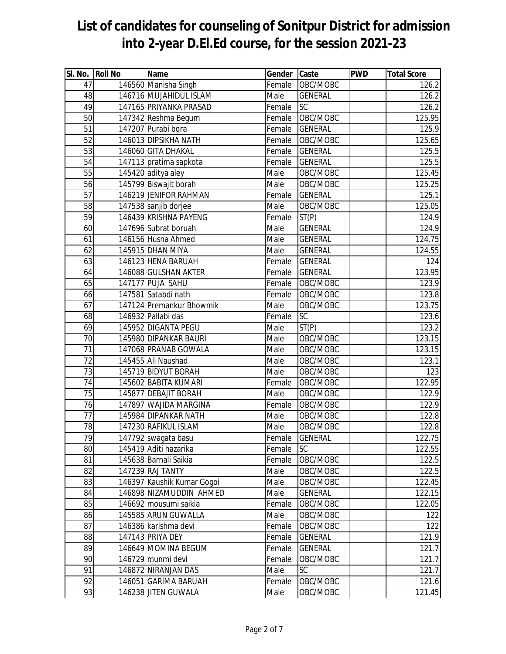| SI. No. Roll No | Name                       | Gender Caste |                | <b>PWD</b> | <b>Total Score</b> |
|-----------------|----------------------------|--------------|----------------|------------|--------------------|
| 47              | 146560 Manisha Singh       | Female       | OBC/MOBC       |            | $\overline{126.2}$ |
| 48              | 146716 MUJAHIDUL ISLAM     | Male         | <b>GENERAL</b> |            | 126.2              |
| 49              | 147165 PRIYANKA PRASAD     | Female       | <b>SC</b>      |            | 126.2              |
| 50              | 147342 Reshma Begum        | Female       | OBC/MOBC       |            | 125.95             |
| 51              | 147207 Purabi bora         | Female       | <b>GENERAL</b> |            | 125.9              |
| $\overline{52}$ | 146013 DIPSIKHA NATH       | Female       | OBC/MOBC       |            | 125.65             |
| 53              | 146060 GITA DHAKAL         | Female       | <b>GENERAL</b> |            | 125.5              |
| $\overline{54}$ | 147113 pratima sapkota     | Female       | <b>GENERAL</b> |            | 125.5              |
| 55              | 145420 aditya aley         | Male         | OBC/MOBC       |            | 125.45             |
| 56              | 145799 Biswajit borah      | Male         | OBC/MOBC       |            | 125.25             |
| 57              | 146219 JENIFOR RAHMAN      | Female       | <b>GENERAL</b> |            | 125.1              |
| 58              | 147538 sanjib dorjee       | Male         | OBC/MOBC       |            | 125.05             |
| 59              | 146439 KRISHNA PAYENG      | Female       | ST(P)          |            | 124.9              |
| 60              | 147696 Subrat boruah       | Male         | <b>GENERAL</b> |            | 124.9              |
| 61              | 146156 Husna Ahmed         | Male         | <b>GENERAL</b> |            | 124.75             |
| 62              | 145915 DHAN MIYA           | Male         | <b>GENERAL</b> |            | 124.55             |
| 63              | 146123 HENA BARUAH         | Female       | <b>GENERAL</b> |            | 124                |
| 64              | 146088 GULSHAN AKTER       | Female       | <b>GENERAL</b> |            | 123.95             |
| 65              | 147177 PUJA SAHU           | Female       | OBC/MOBC       |            | 123.9              |
| 66              | 147581 Satabdi nath        | Female       | OBC/MOBC       |            | 123.8              |
| 67              | 147124 Premankur Bhowmik   | Male         | OBC/MOBC       |            | 123.75             |
| 68              | 146932 Pallabi das         | Female       | <b>SC</b>      |            | 123.6              |
| 69              | 145952 DIGANTA PEGU        | Male         | ST(P)          |            | 123.2              |
| 70              | 145980 DIPANKAR BAURI      | Male         | OBC/MOBC       |            | 123.15             |
| 71              | 147068 PRANAB GOWALA       | Male         | OBC/MOBC       |            | 123.15             |
| $\overline{72}$ | 145455 Ali Naushad         | Male         | OBC/MOBC       |            | 123.1              |
| 73              | 145719 BIDYUT BORAH        | Male         | OBC/MOBC       |            | 123                |
| 74              | 145602 BABITA KUMARI       | Female       | OBC/MOBC       |            | 122.95             |
| 75              | 145877 DEBAJIT BORAH       | Male         | OBC/MOBC       |            | 122.9              |
| $\overline{76}$ | 147897 WAJIDA MARGINA      | Female       | OBC/MOBC       |            | 122.9              |
| $\overline{77}$ | 145984 DIPANKAR NATH       | Male         | OBC/MOBC       |            | 122.8              |
| $\overline{78}$ | 147230 RAFIKUL ISLAM       | Male         | OBC/MOBC       |            | 122.8              |
| 79              | 147792 swagata basu        | Female       | <b>GENERAL</b> |            | 122.75             |
| 80              | 145419 Aditi hazarika      | Female       | <b>SC</b>      |            | 122.55             |
| 81              | 145638 Barnali Saikia      | Female       | OBC/MOBC       |            | 122.5              |
| 82              | 147239 RAJ TANTY           | Male         | OBC/MOBC       |            | 122.5              |
| 83              | 146397 Kaushik Kumar Gogoi | Male         | OBC/MOBC       |            | 122.45             |
| 84              | 146898 NIZAMUDDIN AHMED    | Male         | <b>GENERAL</b> |            | 122.15             |
| 85              | 146692 mousumi saikia      | Female       | OBC/MOBC       |            | 122.05             |
| 86              | 145585 ARUN GUWALLA        | Male         | OBC/MOBC       |            | 122                |
| 87              | 146386 karishma devi       | Female       | OBC/MOBC       |            | 122                |
| 88              | 147143 PRIYA DEY           | Female       | <b>GENERAL</b> |            | 121.9              |
| 89              | 146649 MOMINA BEGUM        | Female       | <b>GENERAL</b> |            | 121.7              |
| 90              | 146729 munmi devi          | Female       | OBC/MOBC       |            | 121.7              |
| 91              | 146872 NIRANJAN DAS        | Male         | <b>SC</b>      |            | 121.7              |
| 92              | 146051 GARIMA BARUAH       | Female       | OBC/MOBC       |            | 121.6              |
| 93              | 146238 JITEN GUWALA        | Male         | OBC/MOBC       |            | 121.45             |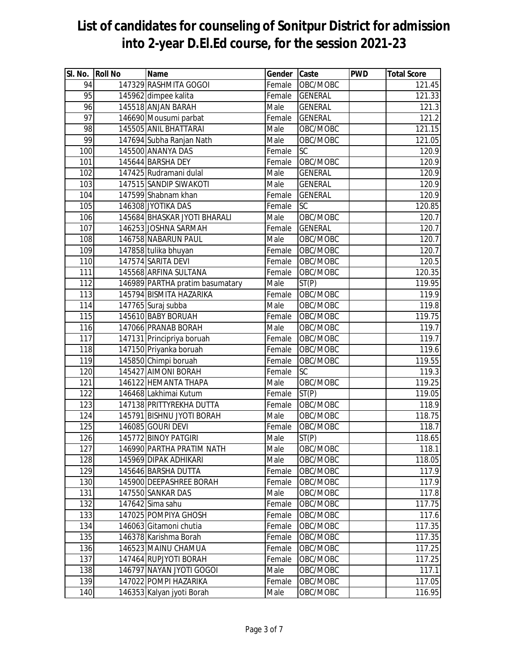| SI. No. Roll No  | Name                            | Gender Caste               |                | <b>PWD</b> | <b>Total Score</b> |
|------------------|---------------------------------|----------------------------|----------------|------------|--------------------|
| 94               | 147329 RASHMITA GOGOI           | Female                     | OBC/MOBC       |            | 121.45             |
| 95               | 145962 dimpee kalita            | Female                     | <b>GENERAL</b> |            | 121.33             |
| 96               | 145518 ANJAN BARAH              | Male                       | <b>GENERAL</b> |            | 121.3              |
| 97               | 146690 Mousumi parbat           | Female                     | <b>GENERAL</b> |            | 121.2              |
| 98               | 145505 ANIL BHATTARAI           | Male                       | OBC/MOBC       |            | 121.15             |
| 99               | 147694 Subha Ranjan Nath        | Male                       | OBC/MOBC       |            | 121.05             |
| 100              | 145500 ANANYA DAS               | Female                     | <b>SC</b>      |            | 120.9              |
| 101              | 145644 BARSHA DEY               | Female                     | OBC/MOBC       |            | 120.9              |
| 102              | 147425 Rudramani dulal          | Male                       | <b>GENERAL</b> |            | 120.9              |
| 103              | 147515 SANDIP SIWAKOTI          | $\overline{\mathsf{Male}}$ | <b>GENERAL</b> |            | 120.9              |
| 104              | 147599 Shabnam khan             | Female                     | <b>GENERAL</b> |            | 120.9              |
| 105              | 146308 JYOTIKA DAS              | Female                     | <b>SC</b>      |            | 120.85             |
| 106              | 145684 BHASKAR JYOTI BHARALI    | Male                       | OBC/MOBC       |            | 120.7              |
| 107              | 146253 JOSHNA SARMAH            | Female                     | <b>GENERAL</b> |            | 120.7              |
| 108              | 146758 NABARUN PAUL             | Male                       | OBC/MOBC       |            | 120.7              |
| 109              | 147858 tulika bhuyan            | Female                     | OBC/MOBC       |            | 120.7              |
| 110              | 147574 SARITA DEVI              | Female                     | OBC/MOBC       |            | 120.5              |
| 111              | 145568 ARFINA SULTANA           | Female                     | OBC/MOBC       |            | 120.35             |
| 112              | 146989 PARTHA pratim basumatary | Male                       | ST(P)          |            | 119.95             |
| 113              | 145794 BISMITA HAZARIKA         | Female                     | OBC/MOBC       |            | 119.9              |
| 114              | 147765 Suraj subba              | Male                       | OBC/MOBC       |            | 119.8              |
| 115              | 145610 BABY BORUAH              | Female                     | OBC/MOBC       |            | 119.75             |
| 116              | 147066 PRANAB BORAH             | Male                       | OBC/MOBC       |            | 119.7              |
| 117              | 147131 Principriya boruah       | Female                     | OBC/MOBC       |            | 119.7              |
| 118              | 147150 Priyanka boruah          | Female                     | OBC/MOBC       |            | 119.6              |
| 119              | 145850 Chimpi boruah            | Female                     | OBC/MOBC       |            | 119.55             |
| 120              | 145427 AIMONI BORAH             | Female                     | <b>SC</b>      |            | 119.3              |
| 121              | 146122 HEMANTA THAPA            | Male                       | OBC/MOBC       |            | 119.25             |
| $\overline{122}$ | 146468 Lakhimai Kutum           | Female                     | ST(P)          |            | 119.05             |
| 123              | 147138 PRITTYREKHA DUTTA        | Female                     | OBC/MOBC       |            | 118.9              |
| 124              | 145791 BISHNU JYOTI BORAH       | Male                       | OBC/MOBC       |            | 118.75             |
| 125              | 146085 GOURI DEVI               | Female                     | OBC/MOBC       |            | 118.7              |
| 126              | 145772 BINOY PATGIRI            | Male                       | ST(P)          |            | 118.65             |
| 127              | 146990 PARTHA PRATIM NATH       | Male                       | OBC/MOBC       |            | 118.1              |
| 128              | 145969 DIPAK ADHIKARI           | Male                       | OBC/MOBC       |            | 118.05             |
| 129              | 145646 BARSHA DUTTA             | Female                     | OBC/MOBC       |            | 117.9              |
| 130              | 145900 DEEPASHREE BORAH         | Female                     | OBC/MOBC       |            | 117.9              |
| 131              | 147550 SANKAR DAS               | Male                       | OBC/MOBC       |            | 117.8              |
| 132              | 147642 Sima sahu                | Female                     | OBC/MOBC       |            | 117.75             |
| 133              | 147025 POMPIYA GHOSH            | Female                     | OBC/MOBC       |            | 117.6              |
| 134              | 146063 Gitamoni chutia          | Female                     | OBC/MOBC       |            | 117.35             |
| 135              | 146378 Karishma Borah           | Female                     | OBC/MOBC       |            | 117.35             |
| 136              | 146523 MAINU CHAMUA             | Female                     | OBC/MOBC       |            | 117.25             |
| 137              | 147464 RUPJYOTI BORAH           | Female                     | OBC/MOBC       |            | 117.25             |
| 138              | 146797 NAYAN JYOTI GOGOI        | Male                       | OBC/MOBC       |            | 117.1              |
| 139              | 147022 POMPI HAZARIKA           | Female                     | OBC/MOBC       |            | 117.05             |
| 140              | 146353 Kalyan jyoti Borah       | Male                       | OBC/MOBC       |            | 116.95             |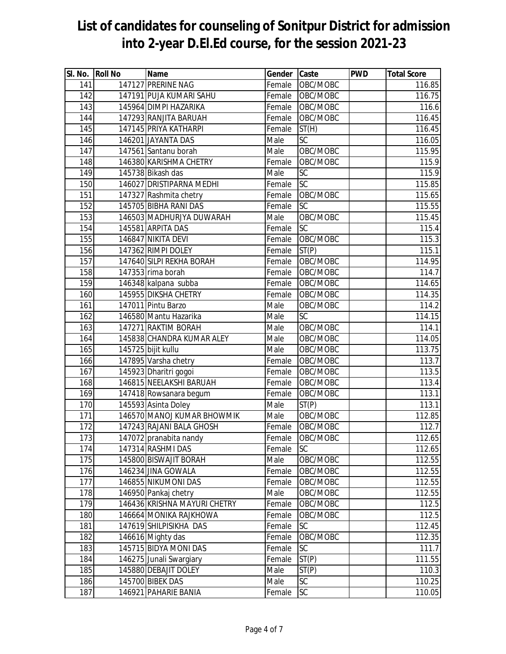| SI. No. Roll No | Name                         | Gender Caste               |                 | <b>PWD</b> | <b>Total Score</b> |
|-----------------|------------------------------|----------------------------|-----------------|------------|--------------------|
| 141             | 147127 PRERINE NAG           | Female                     | OBC/MOBC        |            | 116.85             |
| 142             | 147191 PUJA KUMARI SAHU      | Female                     | OBC/MOBC        |            | 116.75             |
| 143             | 145964 DIMPI HAZARIKA        | Female                     | OBC/MOBC        |            | 116.6              |
| 144             | 147293 RANJITA BARUAH        | Female                     | OBC/MOBC        |            | 116.45             |
| 145             | 147145 PRIYA KATHARPI        | Female                     | ST(H)           |            | 116.45             |
| 146             | 146201 JAYANTA DAS           | Male                       | $\overline{SC}$ |            | 116.05             |
| 147             | 147561 Santanu borah         | Male                       | OBC/MOBC        |            | 115.95             |
| 148             | 146380 KARISHMA CHETRY       | Female                     | OBC/MOBC        |            | 115.9              |
| 149             | 145738 Bikash das            | Male                       | <b>SC</b>       |            | 115.9              |
| 150             | 146027 DRISTIPARNA MEDHI     | Female                     | <b>SC</b>       |            | 115.85             |
| 151             | 147327 Rashmita chetry       | Female                     | OBC/MOBC        |            | 115.65             |
| 152             | 145705 BIBHA RANI DAS        | Female                     | <b>SC</b>       |            | 115.55             |
| 153             | 146503 MADHURJYA DUWARAH     | Male                       | OBC/MOBC        |            | 115.45             |
| 154             | 145581 ARPITA DAS            | Female                     | <b>SC</b>       |            | 115.4              |
| 155             | 146847 NIKITA DEVI           | Female                     | OBC/MOBC        |            | 115.3              |
| 156             | 147362 RIMPI DOLEY           | Female                     | ST(P)           |            | 115.1              |
| 157             | 147640 SILPI REKHA BORAH     | Female                     | OBC/MOBC        |            | 114.95             |
| 158             | 147353 rima borah            | Female                     | OBC/MOBC        |            | 114.7              |
| 159             | 146348 kalpana subba         | Female                     | OBC/MOBC        |            | 114.65             |
| 160             | 145955 DIKSHA CHETRY         | Female                     | OBC/MOBC        |            | 114.35             |
| 161             | 147011 Pintu Barzo           | Male                       | OBC/MOBC        |            | 114.2              |
| 162             | 146580 Mantu Hazarika        | Male                       | <b>SC</b>       |            | 114.15             |
| 163             | 147271 RAKTIM BORAH          | Male                       | OBC/MOBC        |            | 114.1              |
| 164             | 145838 CHANDRA KUMAR ALEY    | Male                       | OBC/MOBC        |            | 114.05             |
| 165             | 145725 bijit kullu           | Male                       | OBC/MOBC        |            | 113.75             |
| 166             | 147895 Varsha chetry         | Female                     | OBC/MOBC        |            | 113.7              |
| 167             | 145923 Dharitri gogoi        | Female                     | OBC/MOBC        |            | 113.5              |
| 168             | 146815 NEELAKSHI BARUAH      | Female                     | OBC/MOBC        |            | 113.4              |
| 169             | 147418 Rowsanara begum       | Female                     | OBC/MOBC        |            | 113.1              |
| 170             | 145593 Asinta Doley          | $\overline{\mathsf{Male}}$ | ST(P)           |            | 113.1              |
| 171             | 146570 MANOJ KUMAR BHOWMIK   | Male                       | OBC/MOBC        |            | 112.85             |
| 172             | 147243 RAJANI BALA GHOSH     |                            | Female OBC/MOBC |            | 112.7              |
| 173             | 147072 pranabita nandy       |                            | Female OBC/MOBC |            | 112.65             |
| 174             | 147314 RASHMI DAS            | Female                     | <b>SC</b>       |            | 112.65             |
| 175             | 145800 BISWAJIT BORAH        | Male                       | OBC/MOBC        |            | 112.55             |
| 176             | 146234 JINA GOWALA           | Female                     | OBC/MOBC        |            | 112.55             |
| 177             | 146855 NIKUMONI DAS          | Female                     | OBC/MOBC        |            | 112.55             |
| 178             | 146950 Pankaj chetry         | Male                       | OBC/MOBC        |            | 112.55             |
| 179             | 146436 KRISHNA MAYURI CHETRY | Female                     | OBC/MOBC        |            | 112.5              |
| 180             | 146664 MONIKA RAJKHOWA       | Female                     | OBC/MOBC        |            | 112.5              |
| 181             | 147619 SHILPISIKHA DAS       | Female                     | <b>SC</b>       |            | 112.45             |
| 182             | 146616 Mighty das            | Female                     | OBC/MOBC        |            | 112.35             |
| 183             | 145715 BIDYA MONI DAS        | Female                     | <b>SC</b>       |            | 111.7              |
| 184             | 146275 Junali Swargiary      | Female                     | ST(P)           |            | 111.55             |
| 185             | 145880 DEBAJIT DOLEY         | Male                       | ST(P)           |            | 110.3              |
| 186             | 145700 BIBEK DAS             | Male                       | $\overline{SC}$ |            | 110.25             |
| 187             | 146921 PAHARIE BANIA         | Female                     | <b>SC</b>       |            | 110.05             |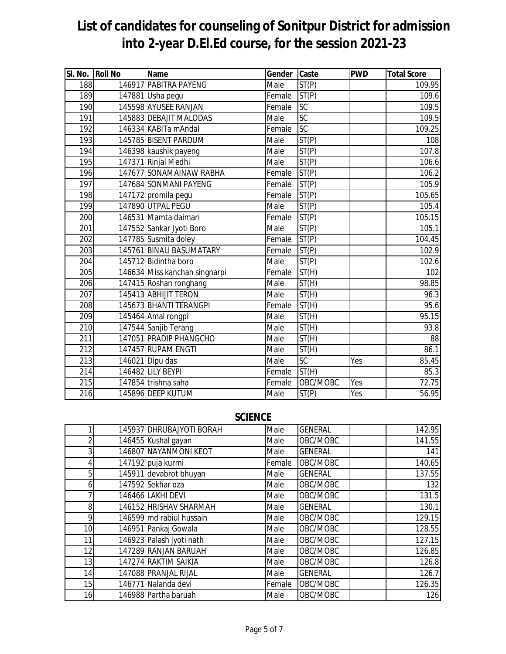| SI. No. Roll No  | <b>Name</b>                   | Gender Caste               |           | <b>PWD</b> | <b>Total Score</b> |
|------------------|-------------------------------|----------------------------|-----------|------------|--------------------|
| 188              | 146917 PABITRA PAYENG         | Male                       | ST(P)     |            | 109.95             |
| 189              | 147881 Usha pegu              | Female                     | ST(P)     |            | 109.6              |
| 190              | 145598 AYUSEE RANJAN          | Female                     | SC        |            | 109.5              |
| 191              | 145883 DEBAJIT MALODAS        | Male                       | SC        |            | 109.5              |
| 192              | 146334 KABITa mAndal          | Female                     | <b>SC</b> |            | 109.25             |
| 193              | 145785 BISENT PARDUM          | Male                       | ST(P)     |            | 108                |
| 194              | 146398 kaushik payeng         | Male                       | ST(P)     |            | 107.8              |
| 195              | 147371 Rinjal Medhi           | Male                       | ST(P)     |            | 106.6              |
| 196              | 147677 SONAMAINAW RABHA       | Female                     | ST(P)     |            | 106.2              |
| 197              | 147684 SONMANI PAYENG         | Female                     | ST(P)     |            | 105.9              |
| 198              | 147172 promila pegu           | Female                     | ST(P)     |            | 105.65             |
| 199              | 147890 UTPAL PEGU             | Male                       | ST(P)     |            | 105.4              |
| 200              | 146531 Mamta daimari          | Female                     | ST(P)     |            | 105.15             |
| 201              | 147552 Sankar Jyoti Boro      | Male                       | ST(P)     |            | 105.1              |
| 202              | 147785 Susmita doley          | Female                     | ST(P)     |            | 104.45             |
| 203              | 145761 BINALI BASUMATARY      | Female                     | ST(P)     |            | 102.9              |
| 204              | 145712 Bidintha boro          | Male                       | ST(P)     |            | 102.6              |
| 205              | 146634 Miss kanchan singnarpi | Female                     | ST(H)     |            | 102                |
| 206              | 147415 Roshan ronghang        | Male                       | ST(H)     |            | 98.85              |
| 207              | 145413 ABHIJIT TERON          | Male                       | ST(H)     |            | 96.3               |
| 208              | 145673 BHANTI TERANGPI        | Female                     | ST(H)     |            | 95.6               |
| 209              | 145464 Amal rongpi            | Male                       | ST(H)     |            | 95.15              |
| 210              | 147544 Sanjib Terang          | Male                       | ST(H)     |            | 93.8               |
| 211              | 147051 PRADIP PHANGCHO        | Male                       | ST(H)     |            | 88                 |
| 212              | 147457 RUPAM ENGTI            | Male                       | ST(H)     |            | 86.1               |
| $\overline{213}$ | 146021 Dipu das               | Male                       | SC        | Yes        | 85.45              |
| 214              | 146482 LILY BEYPI             | Female                     | ST(H)     |            | 85.3               |
| 215              | 147854 trishna saha           | Female                     | OBC/MOBC  | Yes        | 72.75              |
| $\overline{216}$ | 145896 DEEP KUTUM             | $\overline{\mathsf{Male}}$ | ST(P)     | Yes        | 56.95              |

#### **SCIENCE**

|                           | 145937 DHRUBAJYOTI BORAH | Male   | <b>GENERAL</b> | 142.95 |
|---------------------------|--------------------------|--------|----------------|--------|
| $\mathbf{2}_{\mathsf{I}}$ | 146455 Kushal gayan      | Male   | OBC/MOBC       | 141.55 |
| 3                         | 146807 NAYANMONI KEOT    | Male   | <b>GENERAL</b> | 141    |
| 4                         | 147192 puja kurmi        | Female | OBC/MOBC       | 140.65 |
| 5                         | 145911 devabrot bhuyan   | Male   | <b>GENERAL</b> | 137.55 |
| 6                         | 147592 Sekhar oza        | Male   | OBC/MOBC       | 132    |
| 7                         | 146466 LAKHI DEVI        | Male   | OBC/MOBC       | 131.5  |
| 8                         | 146152 HRISHAV SHARMAH   | Male   | <b>GENERAL</b> | 130.1  |
| 9                         | 146599 md rabiul hussain | Male   | OBC/MOBC       | 129.15 |
| 10 <sup>1</sup>           | 146951 Pankaj Gowala     | Male   | OBC/MOBC       | 128.55 |
| 11                        | 146923 Palash jyoti nath | Male   | OBC/MOBC       | 127.15 |
| 12                        | 147289 RANJAN BARUAH     | Male   | OBC/MOBC       | 126.85 |
| 13                        | 147274 RAKTIM SAIKIA     | Male   | OBC/MOBC       | 126.8  |
| 14                        | 147088 PRANJAL RIJAL     | Male   | <b>GENERAL</b> | 126.7  |
| 15                        | 146771 Nalanda devi      | Female | OBC/MOBC       | 126.35 |
| 16                        | 146988 Partha baruah     | Male   | OBC/MOBC       | 126    |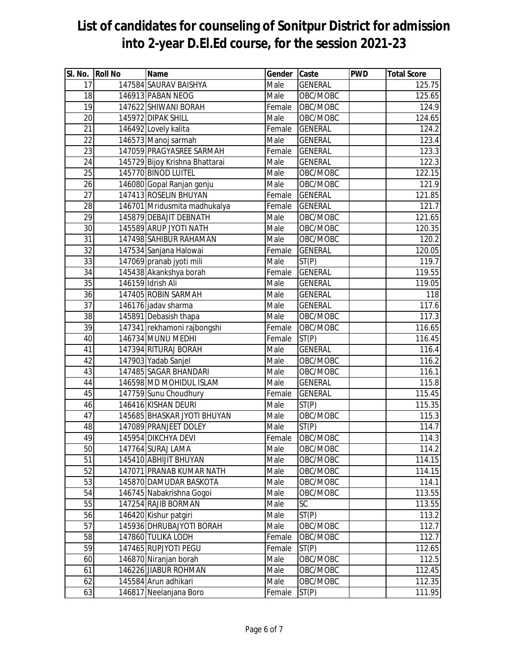| SI. No. Roll No | Name                           | Gender Caste |                 | <b>PWD</b> | <b>Total Score</b>  |
|-----------------|--------------------------------|--------------|-----------------|------------|---------------------|
| 17              | 147584 SAURAV BAISHYA          | Male         | <b>GENERAL</b>  |            | 125.75              |
| 18              | 146913 PABAN NEOG              | Male         | OBC/MOBC        |            | $\overline{125.65}$ |
| 19              | 147622 SHIWANI BORAH           | Female       | OBC/MOBC        |            | 124.9               |
| 20              | 145972 DIPAK SHILL             | Male         | OBC/MOBC        |            | 124.65              |
| 21              | 146492 Lovely kalita           | Female       | <b>GENERAL</b>  |            | 124.2               |
| $\overline{22}$ | 146573 Manoj sarmah            | Male         | <b>GENERAL</b>  |            | 123.4               |
| 23              | 147059 PRAGYASREE SARMAH       | Female       | <b>GENERAL</b>  |            | 123.3               |
| $\overline{24}$ | 145729 Bijoy Krishna Bhattarai | Male         | <b>GENERAL</b>  |            | 122.3               |
| 25              | 145770 BINOD LUITEL            | Male         | OBC/MOBC        |            | 122.15              |
| 26              | 146080 Gopal Ranjan gonju      | Male         | OBC/MOBC        |            | 121.9               |
| 27              | 147413 ROSELIN BHUYAN          | Female       | <b>GENERAL</b>  |            | 121.85              |
| 28              | 146701 Mridusmita madhukalya   | Female       | <b>GENERAL</b>  |            | 121.7               |
| $\overline{29}$ | 145879 DEBAJIT DEBNATH         | Male         | OBC/MOBC        |            | 121.65              |
| 30              | 145589 ARUP JYOTI NATH         | Male         | OBC/MOBC        |            | 120.35              |
| 31              | 147498 SAHIBUR RAHAMAN         | Male         | OBC/MOBC        |            | 120.2               |
| $\overline{32}$ | 147534 Sanjana Halowai         | Female       | <b>GENERAL</b>  |            | 120.05              |
| 33              | 147069 pranab jyoti mili       | Male         | ST(P)           |            | 119.7               |
| 34              | 145438 Akankshya borah         | Female       | <b>GENERAL</b>  |            | 119.55              |
| 35              | 146159 Idrish Ali              | Male         | <b>GENERAL</b>  |            | 119.05              |
| 36              | 147405 ROBIN SARMAH            | Male         | <b>GENERAL</b>  |            | 118                 |
| $\overline{37}$ | 146176 jadav sharma            | Male         | <b>GENERAL</b>  |            | 117.6               |
| 38              | 145891 Debasish thapa          | Male         | OBC/MOBC        |            | 117.3               |
| 39              | 147341 rekhamoni rajbongshi    | Female       | OBC/MOBC        |            | 116.65              |
| 40              | 146734 MUNU MEDHI              | Female       | ST(P)           |            | 116.45              |
| 41              | 147394 RITURAJ BORAH           | Male         | <b>GENERAL</b>  |            | 116.4               |
| 42              | 147903 Yadab Sanjel            | Male         | OBC/MOBC        |            | 116.2               |
| 43              | 147485 SAGAR BHANDARI          | Male         | OBC/MOBC        |            | 116.1               |
| 44              | 146598 MD MOHIDUL ISLAM        | Male         | <b>GENERAL</b>  |            | 115.8               |
| 45              | 147759 Sunu Choudhury          | Female       | <b>GENERAL</b>  |            | 115.45              |
| 46              | 146416 KISHAN DEURI            | Male         | ST(P)           |            | 115.35              |
| 47              | 145685 BHASKAR JYOTI BHUYAN    | Male         | OBC/MOBC        |            | 115.3               |
| 48              | 147089 PRANJEET DOLEY          | Male         | ST(P)           |            | 114.7               |
| 49              | 145954 DIKCHYA DEVI            |              | Female OBC/MOBC |            | 114.3               |
| 50              | 147764 SURAJ LAMA              | Male         | OBC/MOBC        |            | 114.2               |
| 51              | 145410 ABHIJIT BHUYAN          | Male         | OBC/MOBC        |            | 114.15              |
| 52              | 147071 PRANAB KUMAR NATH       | Male         | OBC/MOBC        |            | 114.15              |
| 53              | 145870 DAMUDAR BASKOTA         | Male         | OBC/MOBC        |            | 114.1               |
| 54              | 146745 Nabakrishna Gogoi       | Male         | OBC/MOBC        |            | 113.55              |
| 55              | 147254 RAJIB BORMAN            | Male         | <b>SC</b>       |            | 113.55              |
| 56              | 146420 Kishur patgiri          | Male         | ST(P)           |            | 113.2               |
| 57              | 145936 DHRUBAJYOTI BORAH       | Male         | OBC/MOBC        |            | 112.7               |
| 58              | 147860 TULIKA LODH             | Female       | OBC/MOBC        |            | 112.7               |
| 59              | 147465 RUPJYOTI PEGU           | Female       | ST(P)           |            | 112.65              |
| 60              | 146870 Niranjan borah          | Male         | OBC/MOBC        |            | 112.5               |
| 61              | 146226 JIABUR ROHMAN           | Male         | OBC/MOBC        |            | 112.45              |
| 62              | 145584 Arun adhikari           | Male         | OBC/MOBC        |            | 112.35              |
| 63              | 146817 Neelanjana Boro         | Female       | ST(P)           |            | 111.95              |